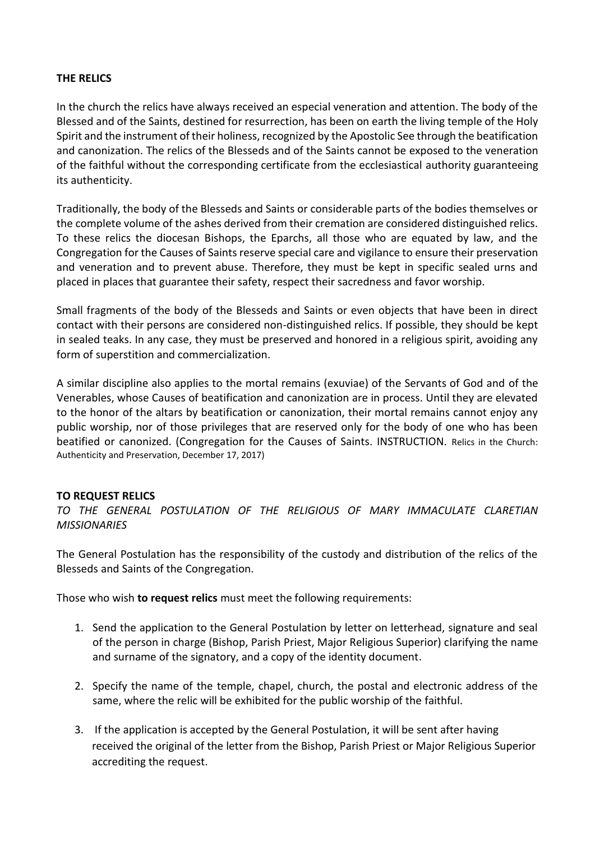## **THE RELICS**

In the church the relics have always received an especial veneration and attention. The body of the Blessed and of the Saints, destined for resurrection, has been on earth the living temple of the Holy Spirit and the instrument of their holiness, recognized by the Apostolic See through the beatification and canonization. The relics of the Blesseds and of the Saints cannot be exposed to the veneration of the faithful without the corresponding certificate from the ecclesiastical authority guaranteeing its authenticity.

Traditionally, the body of the Blesseds and Saints or considerable parts of the bodies themselves or the complete volume of the ashes derived from their cremation are considered distinguished relics. To these relics the diocesan Bishops, the Eparchs, all those who are equated by law, and the Congregation for the Causes of Saints reserve special care and vigilance to ensure their preservation and veneration and to prevent abuse. Therefore, they must be kept in specific sealed urns and placed in places that guarantee their safety, respect their sacredness and favor worship.

Small fragments of the body of the Blesseds and Saints or even objects that have been in direct contact with their persons are considered non-distinguished relics. If possible, they should be kept in sealed teaks. In any case, they must be preserved and honored in a religious spirit, avoiding any form of superstition and commercialization.

A similar discipline also applies to the mortal remains (exuviae) of the Servants of God and of the Venerables, whose Causes of beatification and canonization are in process. Until they are elevated to the honor of the altars by beatification or canonization, their mortal remains cannot enjoy any public worship, nor of those privileges that are reserved only for the body of one who has been beatified or canonized. (Congregation for the Causes of Saints. INSTRUCTION. Relics in the Church: Authenticity and Preservation, December 17, 2017)

## **TO REQUEST RELICS**

*TO THE GENERAL POSTULATION OF THE RELIGIOUS OF MARY IMMACULATE CLARETIAN MISSIONARIES*

The General Postulation has the responsibility of the custody and distribution of the relics of the Blesseds and Saints of the Congregation.

Those who wish **to request relics** must meet the following requirements:

- 1. Send the application to the General Postulation by letter on letterhead, signature and seal of the person in charge (Bishop, Parish Priest, Major Religious Superior) clarifying the name and surname of the signatory, and a copy of the identity document.
- 2. Specify the name of the temple, chapel, church, the postal and electronic address of the same, where the relic will be exhibited for the public worship of the faithful.
- 3. If the application is accepted by the General Postulation, it will be sent after having received the original of the letter from the Bishop, Parish Priest or Major Religious Superior accrediting the request.